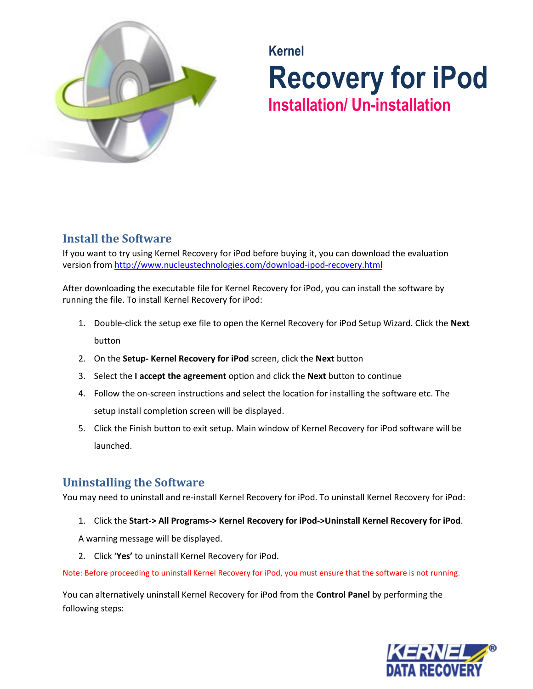

## **Kernel Recovery for iPod Installation/ Un-installation**

## **Install the Software**

If you want to try using Kernel Recovery for iPod before buying it, you can download the evaluation version fro[m http://www.nucleustechnologies.com/download-ipod-recovery.html](http://www.nucleustechnologies.com/download-ipod-recovery.html)

After downloading the executable file for Kernel Recovery for iPod, you can install the software by running the file. To install Kernel Recovery for iPod:

- 1. Double-click the setup exe file to open the Kernel Recovery for iPod Setup Wizard. Click the **Next** button
- 2. On the **Setup- Kernel Recovery for iPod** screen, click the **Next** button
- 3. Select the **I accept the agreement** option and click the **Next** button to continue
- 4. Follow the on-screen instructions and select the location for installing the software etc. The setup install completion screen will be displayed.
- 5. Click the Finish button to exit setup. Main window of Kernel Recovery for iPod software will be launched.

## **Uninstalling the Software**

You may need to uninstall and re-install Kernel Recovery for iPod. To uninstall Kernel Recovery for iPod:

1. Click the **Start-> All Programs-> Kernel Recovery for iPod->Uninstall Kernel Recovery for iPod**.

A warning message will be displayed.

2. Click '**Yes'** to uninstall Kernel Recovery for iPod.

Note: Before proceeding to uninstall Kernel Recovery for iPod, you must ensure that the software is not running.

You can alternatively uninstall Kernel Recovery for iPod from the **Control Panel** by performing the following steps: